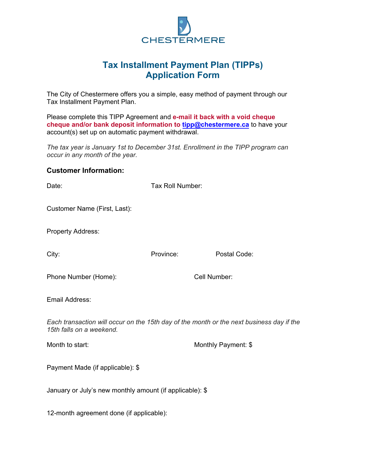

## **Tax Installment Payment Plan (TIPPs) Application Form**

The City of Chestermere offers you a simple, easy method of payment through our Tax Installment Payment Plan.

Please complete this TIPP Agreement and **e-mail it back with a void cheque [cheque and/or bank de](mailto:tipp@chestermere.ca)posit information to tipp@chestermere.ca** to have your account(s) set up on automatic payment withdrawal.

*The tax year is January 1st to December 31st. Enrollment in the TIPP program can occur in any month of the year.* 

## **Customer Information:**

| Date:                                                                                                                | Tax Roll Number: |                     |
|----------------------------------------------------------------------------------------------------------------------|------------------|---------------------|
| Customer Name (First, Last):                                                                                         |                  |                     |
| Property Address:                                                                                                    |                  |                     |
| City:                                                                                                                | Province:        | Postal Code:        |
| Phone Number (Home):                                                                                                 |                  | Cell Number:        |
| Email Address:                                                                                                       |                  |                     |
| Each transaction will occur on the 15th day of the month or the next business day if the<br>15th falls on a weekend. |                  |                     |
| Month to start:                                                                                                      |                  | Monthly Payment: \$ |
| Payment Made (if applicable): \$                                                                                     |                  |                     |
| January or July's new monthly amount (if applicable): \$                                                             |                  |                     |
| 12-month agreement done (if applicable):                                                                             |                  |                     |